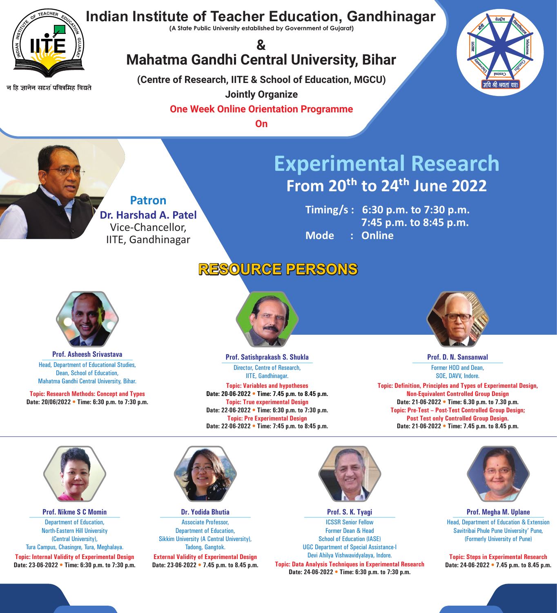

न हि ज्ञानेन सदृशं पवित्रमिह विद्यते

### **Indian Institute of Teacher Education, Gandhinagar**

**(A State Public University established by Government of Gujarat)**

**Timing/s : 6:30 p.m. to 7:30 p.m. 7:45 p.m. to 8:45 p.m. Mode : Online**

**(Centre of Research, IITE & School of Education, MGCU) Jointly Organize** 

**One Week Online Orientation Programme**

**On**

## **RESOURCE PERSONS**



**Topic: Research Methods: Concept and Types Date: 20/06/2022 • Time: 6:30 p.m. to 7:30 p.m.**



Head, Department of Educational Studies, Dean, School of Education, Mahatma Gandhi Central University, Bihar. **Prof. Asheesh Srivastava**

**Topic: Variables and hypotheses Date: 20-06-2022 • Time: 7.45 p.m. to 8.45 p.m. Topic: True experimental Design Date: 22-06-2022 • Time: 6:30 p.m. to 7:30 p.m. Topic: Pre Experimental Design Date: 22-06-2022 • Time: 7:45 p.m. to 8:45 p.m.** 



Director, Centre of Research, IITE, Gandhinagar. **Prof. Satishprakash S. Shukla**

> **Topic: Definition, Principles and Types of Experimental Design, Non-Equivalent Controlled Group Design Date: 21-06-2022 • Time: 6.30 p.m. to 7.30 p.m. Topic: Pre-Test – Post-Test Controlled Group Design; Post Test only Controlled Group Design. Date: 21-06-2022 • Time: 7.45 p.m. to 8.45 p.m.**

![](_page_0_Picture_21.jpeg)

![](_page_0_Picture_22.jpeg)

Former HOD and Dean, SOE, DAVV, Indore. **Prof. D. N. Sansanwal** 

**Topic: Internal Validity of Experimental Design Date: 23-06-2022 • Time: 6:30 p.m. to 7:30 p.m.**

![](_page_0_Picture_26.jpeg)

Department of Education, North-Eastern Hill University (Central University), Tura Campus, Chasingre, Tura, Meghalaya.

#### **Prof. Nikme S C Momin**

**External Validity of Experimental Design Date: 23-06-2022 • 7.45 p.m. to 8.45 p.m.** 

![](_page_0_Picture_30.jpeg)

Associate Professor, Department of Education, Sikkim University (A Central University), Tadong, Gangtok.

#### **Dr. Yodida Bhutia**

**Topic: Data Analysis Techniques in Experimental Research Date: 24-06-2022 • Time: 6:30 p.m. to 7:30 p.m.** ICSSR Senior Fellow Former Dean & Head School of Education (IASE) UGC Department of Special Assistance-I Devi Ahilya Vishwavidyalaya, Indore. **Prof. S. K. Tyagi**

![](_page_0_Picture_32.jpeg)

**Topic: Steps in Experimental Research Date: 24-06-2022 • 7.45 p.m. to 8.45 p.m.** 

Head, Department of Education & Extension Savitribai Phule Pune University' Pune, (Formerly University of Pune) **Prof. Megha M. Uplane**

![](_page_0_Picture_8.jpeg)

# **Experimental Research** From 20<sup>th</sup> to 24<sup>th</sup> June 2022

### **& Mahatma Gandhi Central University, Bihar**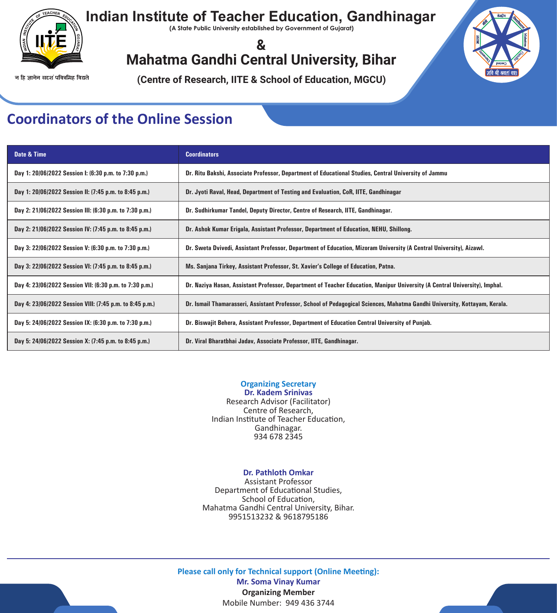![](_page_1_Picture_0.jpeg)

## **Indian Institute of Teacher Education, Gandhinagar**

**(A State Public University established by Government of Gujarat)**

**(Centre of Research, IITE & School of Education, MGCU)**

### **& Mahatma Gandhi Central University, Bihar**

न हि ज्ञानेन सदृशं पवित्रमिह विद्यते

### **Coordinators of the Online Session**

| Date & Time                                              | <b>Coordinators</b>                                                                                                        |  |
|----------------------------------------------------------|----------------------------------------------------------------------------------------------------------------------------|--|
| Day 1: 20/06/2022 Session I: (6:30 p.m. to 7:30 p.m.)    | Dr. Ritu Bakshi, Associate Professor, Department of Educational Studies, Central University of Jammu                       |  |
| Day 1: 20/06/2022 Session II: (7:45 p.m. to 8:45 p.m.)   | Dr. Jyoti Raval, Head, Department of Testing and Evaluation, CoR, IITE, Gandhinagar                                        |  |
| Day 2: 21/06/2022 Session III: (6:30 p.m. to 7:30 p.m.)  | Dr. Sudhirkumar Tandel, Deputy Director, Centre of Research, IITE, Gandhinagar.                                            |  |
| Day 2: 21/06/2022 Session IV: (7:45 p.m. to 8:45 p.m.)   | Dr. Ashok Kumar Erigala, Assistant Professor, Department of Education, NEHU, Shillong.                                     |  |
| Day 3: 22/06/2022 Session V: (6:30 p.m. to 7:30 p.m.)    | Dr. Sweta Dvivedi, Assistant Professor, Department of Education, Mizoram University (A Central University), Aizawl.        |  |
| Day 3: 22/06/2022 Session VI: (7:45 p.m. to 8:45 p.m.)   | Ms. Sanjana Tirkey, Assistant Professor, St. Xavier's College of Education, Patna.                                         |  |
| Day 4: 23/06/2022 Session VII: (6:30 p.m. to 7:30 p.m.)  | Dr. Naziya Hasan, Assistant Professor, Department of Teacher Education, Manipur University (A Central University), Imphal. |  |
| Day 4: 23/06/2022 Session VIII: (7:45 p.m. to 8:45 p.m.) | Dr. Ismail Thamarasseri, Assistant Professor, School of Pedagogical Sciences, Mahatma Gandhi University, Kottayam, Kerala. |  |
| Day 5: 24/06/2022 Session IX: (6:30 p.m. to 7:30 p.m.)   | Dr. Biswajit Behera, Assistant Professor, Department of Education Central University of Punjab.                            |  |
| Day 5: 24/06/2022 Session X: (7:45 p.m. to 8:45 p.m.)    | Dr. Viral Bharatbhai Jadav, Associate Professor, IITE, Gandhinagar.                                                        |  |

**Organizing Secretary Dr. Kadem Srinivas**  Research Advisor (Facilitator) Centre of Research, Indian Institute of Teacher Education, Gandhinagar. 934 678 2345

#### **Dr. Pathloth Omkar**

Assistant Professor Department of Educational Studies, School of Education, Mahatma Gandhi Central University, Bihar. 9951513232 & 9618795186

**Please call only for Technical support (Online Meeting): Mr. Soma Vinay Kumar Organizing Member** Mobile Number: 949 436 3744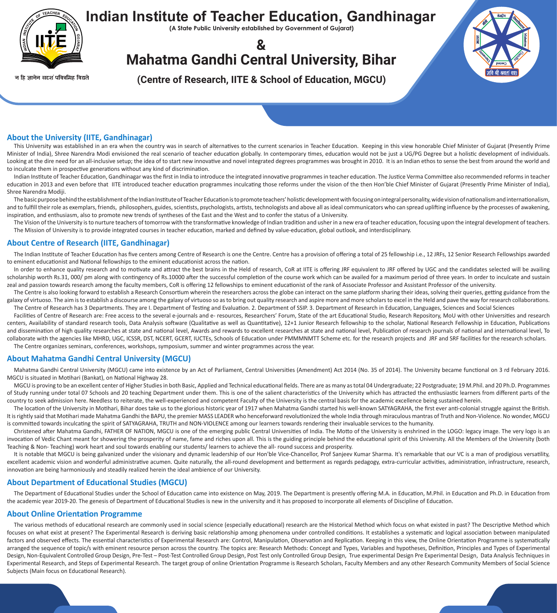![](_page_2_Picture_0.jpeg)

### **Indian Institute of Teacher Education, Gandhinagar**

**(A State Public University established by Government of Gujarat)**

**(Centre of Research, IITE & School of Education, MGCU)**

**& Mahatma Gandhi Central University, Bihar**

न हि ज्ञानेन सदृशं पवित्रमिह विद्यते

#### **About the University (IITE, Gandhinagar)**

This University was established in an era when the country was in search of alternatives to the current scenarios in Teacher Education. Keeping in this view honorable Chief Minister of Gujarat (Presently Prime Minister of India), Shree Narendra Modi envisioned the real scenario of teacher education globally. In contemporary times, education would not be just a UG/PG Degree but a holistic development of individuals. Looking at the dire need for an all-inclusive setup; the idea of to start new innovative and novel integrated degrees programmes was brought in 2010. It is an Indian ethos to sense the best from around the world and to inculcate them in prospective generations without any kind of discrimination.

Indian Institute of Teacher Education, Gandhinagar was the first in India to introduce the integrated innovative programmes in teacher education. The Justice Verma Committee also recommended reforms in teacher education in 2013 and even before that IITE introduced teacher education programmes inculcating those reforms under the vision of the then Hon'ble Chief Minister of Gujarat (Presently Prime Minister of India), Shree Narendra Modiji.

The basic purpose behind the establishment of the Indian Institute of Teacher Education is to promote teachers' holistic development with focusing on integral personality, wide vision of nationalism and internationalism, and to fulfill their role as exemplars, friends, philosophers, guides, scientists, psychologists, artists, technologists and above all as ideal communicators who can spread uplifting influence by the processes of awakening, inspiration, and enthusiasm, also to promote new trends of syntheses of the East and the West and to confer the status of a University.

The Centre is also looking forward to establish a Research Consortium wherein the researchers across the globe can interact on the same platform sharing their ideas, solving their queries, getting guidance from the galaxy of virtuoso. The aim is to establish a discourse among the galaxy of virtuoso so as to bring out quality research and aspire more and more scholars to excel in the Held and pave the way for research collaborations. The Centre of Research has 3 Departments. They are I. Department of Testing and Evaluation. 2. Department of SSIP. 3. Department of Research in Education, Languages, Sciences and Social Sciences

The Vision of the University is to nurture teachers of tomorrow with the transformative knowledge of Indian tradition and usher in a new era of teacher education, focusing upon the integral development of teachers. The Mission of University is to provide integrated courses in teacher education, marked and defined by value-education, global outlook, and interdisciplinary.

#### **About Centre of Research (IITE, Gandhinagar)**

Facilities of Centre of Research are: Free access to the several e-journals and e- resources, Researchers' Forum, State of the art Educational Studio, Research Repository, MoU with other Universities and research centers, Availability of standard research tools, Data Analysis software (Qualitative as well as Quantitative), 12+1 Junior Research fellowship to the scholar, National Research Fellowship in Education, Publications and dissemination of high quality researches at state and national level, Awards and rewards to excellent researches at state and national level, Publication of research journals of national and international level, To collaborate with the agencies like MHRD, UGC, ICSSR, DST, NCERT, GCERT, IUCTEs, Schools of Education under PMMMNMTT Scheme etc. for the research projects and JRF and SRF facilities for the research scholars. The Centre organizes seminars, conferences, workshops, symposium, summer and winter programmes across the year.

The Indian Institute of Teacher Education has five centers among Centre of Research is one the Centre. Centre has a provision of offering a total of 25 fellowship i.e., 12 JRFs, 12 Senior Research Fellowships awarded to eminent educationist and National fellowships to the eminent educationist across the nation.

In order to enhance quality research and to motivate and attract the best brains in the Held of research, CoR at IITE is offering JRF equivalent to JRF offered by UGC and the candidates selected will be availing scholarship worth Rs.31, 000/ pm along with contingency of Rs.10000 after the successful completion of the course work which can be availed for a maximum period of three years. In order to inculcate and sustain zeal and passion towards research among the faculty members, CoR is offering 12 fellowships to eminent educationist of the rank of Associate Professor and Assistant Professor of the university.

#### **About Mahatma Gandhi Central University (MGCU)**

Mahatma Gandhi Central University (MGCU) came into existence by an Act of Parliament, Central Universities (Amendment) Act 2014 (No. 35 of 2014). The University became functional on 3 rd February 2016. MGCU is situated in Motihari (Bankat), on National Highway 28.

MGCU is proving to be an excellent center of Higher Studies in both Basic, Applied and Technical educational fields. There are as many as total 04 Undergraduate; 22 Postgraduate; 19 M.Phil. and 20 Ph.D. Programmes of Study running under total 07 Schools and 20 teaching Department under them. This is one of the salient characteristics of the University which has attracted the enthusiastic learners from different parts of the country to seek admission here. Needless to reiterate, the well-experienced and competent Faculty of the University is the central basis for the academic excellence being sustained herein.

The location of the University in Motihari, Bihar does take us to the glorious historic year of 1917 when Mahatma Gandhi started his well-known SATYAGRAHA, the first ever anti-colonial struggle against the British. It is rightly said that Motihari made Mahatma Gandhi the BAPU, the premier MASS LEADER who henceforward revolutionized the whole India through miraculous mantras of Truth and Non-Violence. No wonder, MGCU is committed towards inculcating the spirit of SATYAGRAHA, TRUTH and NON-VIOLENCE among our learners towards rendering their invaluable services to the humanity.

Christened after Mahatma Gandhi, FATHER OF NATION, MGCU is one of the emerging public Central Universities of India. The Motto of the University is enshrined in the LOGO: legacy image. The very logo is an invocation of Vedic Chant meant for showering the prosperity of name, fame and riches upon all. This is the guiding principle behind the educational spirit of this University. All the Members of the University (both Teaching & Non- Teaching) work heart and soul towards enabling our students/ learners to achieve the all- round success and prosperity.

It is notable that MGCU is being galvanized under the visionary and dynamic leadership of our Hon'ble Vice-Chancellor, Prof Sanjeev Kumar Sharma. It's remarkable that our VC is a man of prodigious versatility, excellent academic vision and wonderful administrative acumen. Quite naturally, the all-round development and betterment as regards pedagogy, extra-curricular activities, administration, infrastructure, research, innovation are being harmoniously and steadily realized herein the ideal ambience of our University.

#### **About Department of Educational Studies (MGCU)**

The Department of Educational Studies under the School of Education came into existence on May, 2019. The Department is presently offering M.A. in Education, M.Phil. in Education and Ph.D. in Education from the academic year 2019-20. The genesis of Department of Educational Studies is new in the university and it has proposed to incorporate all elements of Discipline of Education.

#### **About Online Orientation Programme**

The various methods of educational research are commonly used in social science (especially educational) research are the Historical Method which focus on what existed in past? The Descriptive Method which focuses on what exist at present? The Experimental Research is deriving basic relationship among phenomena under controlled conditions. It establishes a systematic and logical association between manipulated factors and observed effects. The essential characteristics of Experimental Research are: Control, Manipulation, Observation and Replication. Keeping in this view, the Online Orientation Programme is systematically arranged the sequence of topic/s with eminent resource person across the country. The topics are: Research Methods: Concept and Types, Variables and hypotheses, Definition, Principles and Types of Experimental Design, Non-Equivalent Controlled Group Design, Pre-Test – Post-Test Controlled Group Design, Post Test only Controlled Group Design, True experimental Design Pre Experimental Design, Data Analysis Techniques in Experimental Research, and Steps of Experimental Research. The target group of online Orientation Programme is Research Scholars, Faculty Members and any other Research Community Members of Social Science Subjects (Main focus on Educational Research).